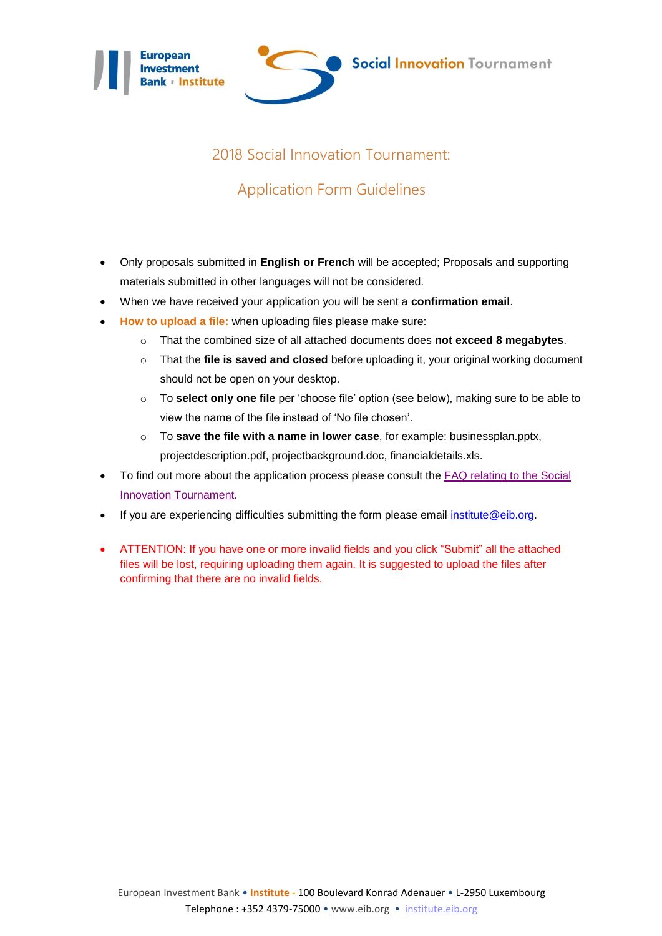



## 2018 Social Innovation Tournament:

## Application Form Guidelines

- Only proposals submitted in **English or French** will be accepted; Proposals and supporting materials submitted in other languages will not be considered.
- When we have received your application you will be sent a **confirmation email**.
- **How to upload a file:** when uploading files please make sure:
	- o That the combined size of all attached documents does **not exceed 8 megabytes**.
	- o That the **file is saved and closed** before uploading it, your original working document should not be open on your desktop.
	- o To **select only one file** per 'choose file' option (see below), making sure to be able to view the name of the file instead of 'No file chosen'.
	- o To **save the file with a name in lower case**, for example: businessplan.pptx, projectdescription.pdf, projectbackground.doc, financialdetails.xls.
- To find out more about the application process please consult the [FAQ relating to the Social](https://institute.eib.org/frequently-asked-questions-2/)  [Innovation Tournament.](https://institute.eib.org/frequently-asked-questions-2/)
- If you are experiencing difficulties submitting the form please email [institute@eib.org.](mailto:institute@eib.org)
- ATTENTION: If you have one or more invalid fields and you click "Submit" all the attached files will be lost, requiring uploading them again. It is suggested to upload the files after confirming that there are no invalid fields.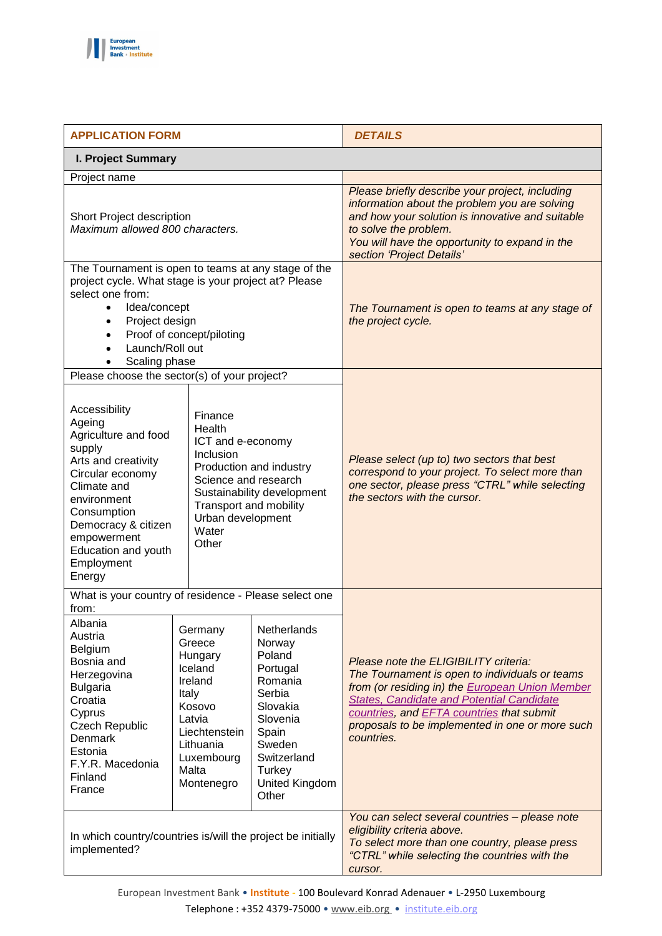

| <b>APPLICATION FORM</b>                                                                                                                                                                                                                         |                                                                                                                                                    |                                                                                                                                                                 | <b>DETAILS</b>                                                                                                                                                                                                                                                                                        |  |  |
|-------------------------------------------------------------------------------------------------------------------------------------------------------------------------------------------------------------------------------------------------|----------------------------------------------------------------------------------------------------------------------------------------------------|-----------------------------------------------------------------------------------------------------------------------------------------------------------------|-------------------------------------------------------------------------------------------------------------------------------------------------------------------------------------------------------------------------------------------------------------------------------------------------------|--|--|
| I. Project Summary                                                                                                                                                                                                                              |                                                                                                                                                    |                                                                                                                                                                 |                                                                                                                                                                                                                                                                                                       |  |  |
| Project name                                                                                                                                                                                                                                    |                                                                                                                                                    |                                                                                                                                                                 |                                                                                                                                                                                                                                                                                                       |  |  |
| Short Project description<br>Maximum allowed 800 characters.                                                                                                                                                                                    |                                                                                                                                                    |                                                                                                                                                                 | Please briefly describe your project, including<br>information about the problem you are solving<br>and how your solution is innovative and suitable<br>to solve the problem.<br>You will have the opportunity to expand in the<br>section 'Project Details'                                          |  |  |
| The Tournament is open to teams at any stage of the<br>project cycle. What stage is your project at? Please<br>select one from:<br>Idea/concept<br>$\bullet$<br>Project design<br>Proof of concept/piloting<br>Launch/Roll out<br>Scaling phase |                                                                                                                                                    |                                                                                                                                                                 | The Tournament is open to teams at any stage of<br>the project cycle.                                                                                                                                                                                                                                 |  |  |
| Please choose the sector(s) of your project?                                                                                                                                                                                                    |                                                                                                                                                    |                                                                                                                                                                 |                                                                                                                                                                                                                                                                                                       |  |  |
| Accessibility<br>Ageing<br>Agriculture and food<br>supply<br>Arts and creativity<br>Circular economy<br>Climate and<br>environment<br>Consumption<br>Democracy & citizen<br>empowerment<br>Education and youth<br>Employment<br>Energy          | Finance<br>Health<br>ICT and e-economy<br>Inclusion<br>Science and research<br>Transport and mobility<br>Urban development<br>Water<br>Other       | Production and industry<br>Sustainability development                                                                                                           | Please select (up to) two sectors that best<br>correspond to your project. To select more than<br>one sector, please press "CTRL" while selecting<br>the sectors with the cursor.                                                                                                                     |  |  |
| What is your country of residence - Please select one<br>from:                                                                                                                                                                                  |                                                                                                                                                    |                                                                                                                                                                 |                                                                                                                                                                                                                                                                                                       |  |  |
| Albania<br>Austria<br>Belgium<br>Bosnia and<br>Herzegovina<br><b>Bulgaria</b><br>Croatia<br>Cyprus<br><b>Czech Republic</b><br><b>Denmark</b><br>Estonia<br>F.Y.R. Macedonia<br>Finland<br>France                                               | Germany<br>Greece<br>Hungary<br>Iceland<br>Ireland<br>Italy<br>Kosovo<br>Latvia<br>Liechtenstein<br>Lithuania<br>Luxembourg<br>Malta<br>Montenegro | Netherlands<br>Norway<br>Poland<br>Portugal<br>Romania<br>Serbia<br>Slovakia<br>Slovenia<br>Spain<br>Sweden<br>Switzerland<br>Turkey<br>United Kingdom<br>Other | Please note the ELIGIBILITY criteria:<br>The Tournament is open to individuals or teams<br>from (or residing in) the European Union Member<br>States, Candidate and Potential Candidate<br>countries, and EFTA countries that submit<br>proposals to be implemented in one or more such<br>countries. |  |  |
| In which country/countries is/will the project be initially<br>implemented?                                                                                                                                                                     |                                                                                                                                                    |                                                                                                                                                                 | You can select several countries - please note<br>eligibility criteria above.<br>To select more than one country, please press<br>"CTRL" while selecting the countries with the<br>cursor.                                                                                                            |  |  |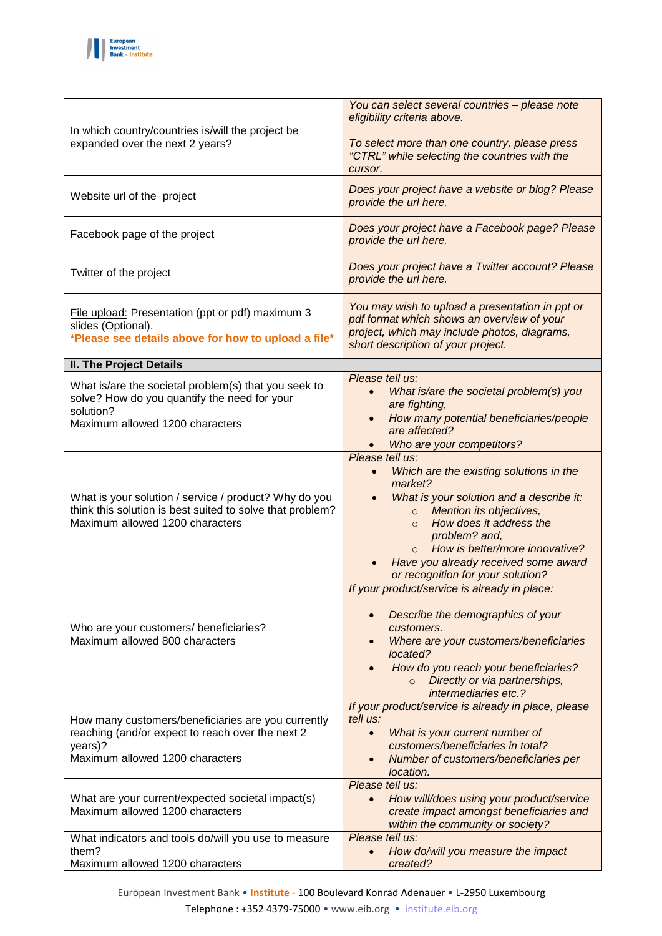

| In which country/countries is/will the project be<br>expanded over the next 2 years?                                                                  | You can select several countries - please note<br>eligibility criteria above.<br>To select more than one country, please press<br>"CTRL" while selecting the countries with the<br>cursor.                                                                                                                                                              |
|-------------------------------------------------------------------------------------------------------------------------------------------------------|---------------------------------------------------------------------------------------------------------------------------------------------------------------------------------------------------------------------------------------------------------------------------------------------------------------------------------------------------------|
| Website url of the project                                                                                                                            | Does your project have a website or blog? Please<br>provide the url here.                                                                                                                                                                                                                                                                               |
| Facebook page of the project                                                                                                                          | Does your project have a Facebook page? Please<br>provide the url here.                                                                                                                                                                                                                                                                                 |
| Twitter of the project                                                                                                                                | Does your project have a Twitter account? Please<br>provide the url here.                                                                                                                                                                                                                                                                               |
| File upload: Presentation (ppt or pdf) maximum 3<br>slides (Optional).<br>*Please see details above for how to upload a file*                         | You may wish to upload a presentation in ppt or<br>pdf format which shows an overview of your<br>project, which may include photos, diagrams,<br>short description of your project.                                                                                                                                                                     |
| <b>II. The Project Details</b>                                                                                                                        |                                                                                                                                                                                                                                                                                                                                                         |
| What is/are the societal problem(s) that you seek to<br>solve? How do you quantify the need for your<br>solution?<br>Maximum allowed 1200 characters  | Please tell us:<br>What is/are the societal problem(s) you<br>are fighting,<br>How many potential beneficiaries/people<br>$\bullet$<br>are affected?<br>Who are your competitors?                                                                                                                                                                       |
| What is your solution / service / product? Why do you<br>think this solution is best suited to solve that problem?<br>Maximum allowed 1200 characters | Please tell us:<br>Which are the existing solutions in the<br>$\bullet$<br>market?<br>What is your solution and a describe it:<br>Mention its objectives,<br>$\circ$<br>How does it address the<br>$\Omega$<br>problem? and,<br>How is better/more innovative?<br>$\Omega$<br>Have you already received some award<br>or recognition for your solution? |
| Who are your customers/ beneficiaries?<br>Maximum allowed 800 characters                                                                              | If your product/service is already in place:<br>Describe the demographics of your<br>customers.<br>Where are your customers/beneficiaries<br>located?<br>How do you reach your beneficiaries?<br>Directly or via partnerships,<br>$\circ$<br>intermediaries etc.?                                                                                       |
| How many customers/beneficiaries are you currently<br>reaching (and/or expect to reach over the next 2<br>years)?<br>Maximum allowed 1200 characters  | If your product/service is already in place, please<br>tell us:<br>What is your current number of<br>$\bullet$<br>customers/beneficiaries in total?<br>Number of customers/beneficiaries per<br>location.                                                                                                                                               |
| What are your current/expected societal impact(s)<br>Maximum allowed 1200 characters                                                                  | Please tell us:<br>How will/does using your product/service<br>$\bullet$<br>create impact amongst beneficiaries and<br>within the community or society?                                                                                                                                                                                                 |
| What indicators and tools do/will you use to measure<br>them?<br>Maximum allowed 1200 characters                                                      | Please tell us:<br>How do/will you measure the impact<br>$\bullet$<br>created?                                                                                                                                                                                                                                                                          |

European Investment Bank • **Institute -** 100 Boulevard Konrad Adenauer • L-2950 Luxembourg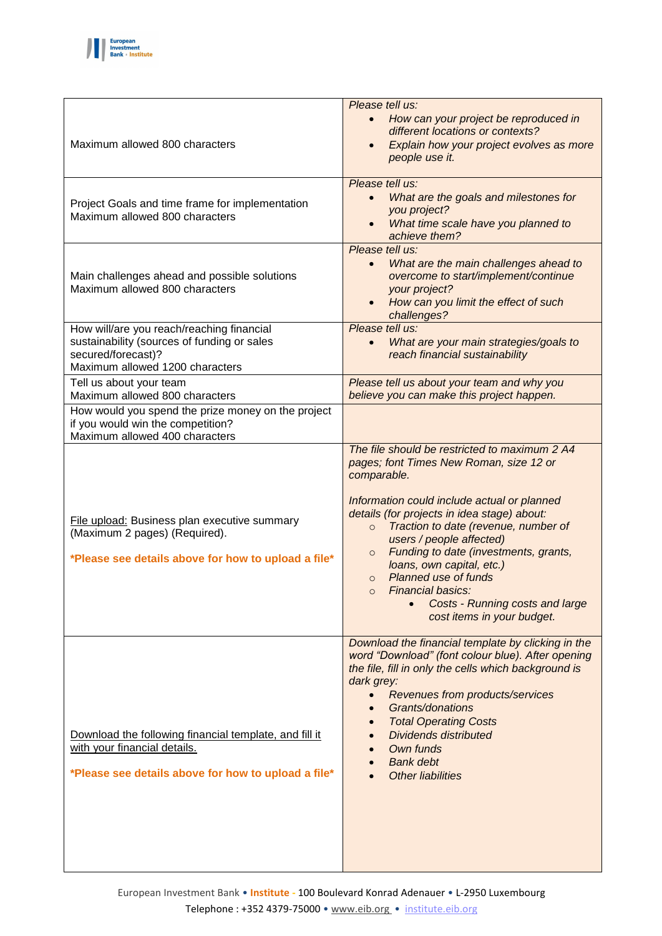

| Maximum allowed 800 characters                                                                                                                    | Please tell us:<br>How can your project be reproduced in<br>$\bullet$<br>different locations or contexts?<br>Explain how your project evolves as more<br>$\bullet$<br>people use it.                                                                                                                                                                                                                                                                                                                                    |
|---------------------------------------------------------------------------------------------------------------------------------------------------|-------------------------------------------------------------------------------------------------------------------------------------------------------------------------------------------------------------------------------------------------------------------------------------------------------------------------------------------------------------------------------------------------------------------------------------------------------------------------------------------------------------------------|
| Project Goals and time frame for implementation<br>Maximum allowed 800 characters                                                                 | Please tell us:<br>What are the goals and milestones for<br>$\bullet$<br>you project?<br>What time scale have you planned to<br>$\bullet$<br>achieve them?                                                                                                                                                                                                                                                                                                                                                              |
| Main challenges ahead and possible solutions<br>Maximum allowed 800 characters                                                                    | Please tell us:<br>What are the main challenges ahead to<br>$\bullet$<br>overcome to start/implement/continue<br>your project?<br>How can you limit the effect of such<br>challenges?                                                                                                                                                                                                                                                                                                                                   |
| How will/are you reach/reaching financial<br>sustainability (sources of funding or sales<br>secured/forecast)?<br>Maximum allowed 1200 characters | Please tell us:<br>What are your main strategies/goals to<br>$\bullet$<br>reach financial sustainability                                                                                                                                                                                                                                                                                                                                                                                                                |
| Tell us about your team<br>Maximum allowed 800 characters                                                                                         | Please tell us about your team and why you<br>believe you can make this project happen.                                                                                                                                                                                                                                                                                                                                                                                                                                 |
| How would you spend the prize money on the project<br>if you would win the competition?<br>Maximum allowed 400 characters                         |                                                                                                                                                                                                                                                                                                                                                                                                                                                                                                                         |
| File upload: Business plan executive summary<br>(Maximum 2 pages) (Required).<br>*Please see details above for how to upload a file*              | The file should be restricted to maximum 2 A4<br>pages; font Times New Roman, size 12 or<br>comparable.<br>Information could include actual or planned<br>details (for projects in idea stage) about:<br>Traction to date (revenue, number of<br>$\circ$<br>users / people affected)<br>Funding to date (investments, grants,<br>$\circ$<br>loans, own capital, etc.)<br><b>Planned use of funds</b><br>$\circ$<br>Financial basics:<br>$\circ$<br><b>Costs - Running costs and large</b><br>cost items in your budget. |
| Download the following financial template, and fill it<br>with your financial details.<br>*Please see details above for how to upload a file*     | Download the financial template by clicking in the<br>word "Download" (font colour blue). After opening<br>the file, fill in only the cells which background is<br>dark grey:<br>Revenues from products/services<br>Grants/donations<br><b>Total Operating Costs</b><br><b>Dividends distributed</b><br>Own funds<br><b>Bank debt</b><br><b>Other liabilities</b>                                                                                                                                                       |